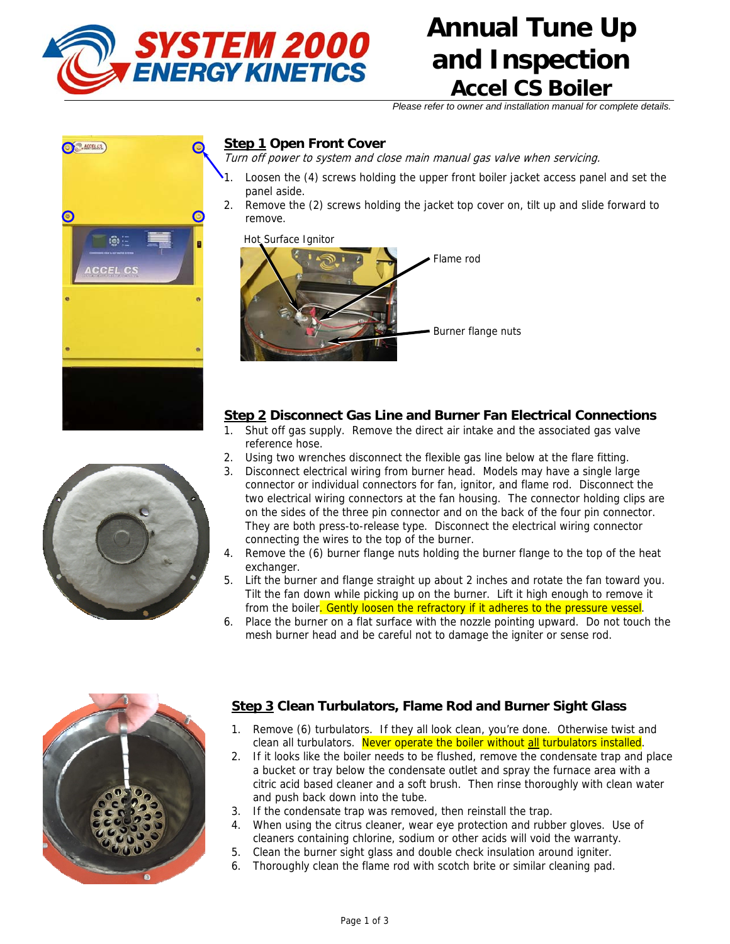

# **Annual Tune Up and Inspection Accel CS Boiler**

*Please refer to owner and installation manual for complete details.* 

#### **Step 1 Open Front Cover**

Turn off power to system and close main manual gas valve when servicing.

- Loosen the (4) screws holding the upper front boiler jacket access panel and set the panel aside.
- 2. Remove the (2) screws holding the jacket top cover on, tilt up and slide forward to remove.



#### **Step 2 Disconnect Gas Line and Burner Fan Electrical Connections**

- 1. Shut off gas supply. Remove the direct air intake and the associated gas valve reference hose.
- 2. Using two wrenches disconnect the flexible gas line below at the flare fitting.
- 3. Disconnect electrical wiring from burner head. Models may have a single large connector or individual connectors for fan, ignitor, and flame rod. Disconnect the two electrical wiring connectors at the fan housing. The connector holding clips are on the sides of the three pin connector and on the back of the four pin connector. They are both press-to-release type. Disconnect the electrical wiring connector connecting the wires to the top of the burner.
- 4. Remove the (6) burner flange nuts holding the burner flange to the top of the heat exchanger.
- 5. Lift the burner and flange straight up about 2 inches and rotate the fan toward you. Tilt the fan down while picking up on the burner. Lift it high enough to remove it from the boiler. Gently loosen the refractory if it adheres to the pressure vessel.
- 6. Place the burner on a flat surface with the nozzle pointing upward. Do not touch the mesh burner head and be careful not to damage the igniter or sense rod.



#### **Step 3 Clean Turbulators, Flame Rod and Burner Sight Glass**

- 1. Remove (6) turbulators. If they all look clean, you're done. Otherwise twist and clean all turbulators. Never operate the boiler without all turbulators installed.
- 2. If it looks like the boiler needs to be flushed, remove the condensate trap and place a bucket or tray below the condensate outlet and spray the furnace area with a citric acid based cleaner and a soft brush. Then rinse thoroughly with clean water and push back down into the tube.
- If the condensate trap was removed, then reinstall the trap.
- 4. When using the citrus cleaner, wear eye protection and rubber gloves. Use of cleaners containing chlorine, sodium or other acids will void the warranty.
- 5. Clean the burner sight glass and double check insulation around igniter.
- 6. Thoroughly clean the flame rod with scotch brite or similar cleaning pad.



C.ACCELCE

a:

**CEL CS**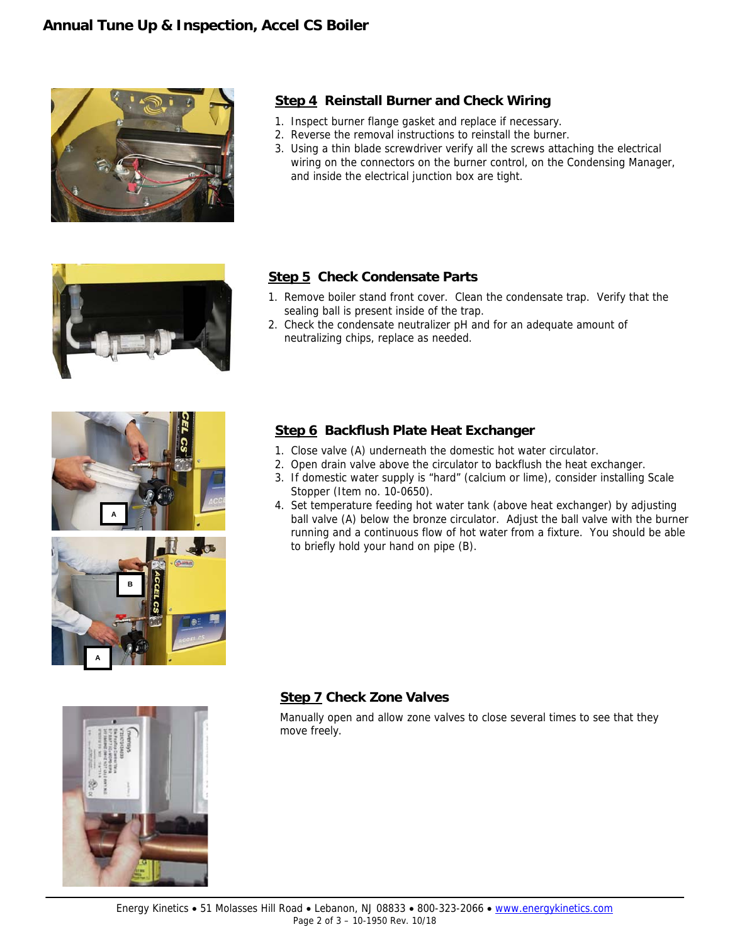

#### **Step 4 Reinstall Burner and Check Wiring**

- 1. Inspect burner flange gasket and replace if necessary.
- 2. Reverse the removal instructions to reinstall the burner.
- 3. Using a thin blade screwdriver verify all the screws attaching the electrical wiring on the connectors on the burner control, on the Condensing Manager, and inside the electrical junction box are tight.



#### **Step 5 Check Condensate Parts**

- 1. Remove boiler stand front cover. Clean the condensate trap. Verify that the sealing ball is present inside of the trap.
- 2. Check the condensate neutralizer pH and for an adequate amount of neutralizing chips, replace as needed.



# **Step 6 Backflush Plate Heat Exchanger**

- 1. Close valve (A) underneath the domestic hot water circulator.
- 2. Open drain valve above the circulator to backflush the heat exchanger.
- 3. If domestic water supply is "hard" (calcium or lime), consider installing Scale Stopper (Item no. 10-0650).
- 4. Set temperature feeding hot water tank (above heat exchanger) by adjusting ball valve (A) below the bronze circulator. Adjust the ball valve with the burner running and a continuous flow of hot water from a fixture. You should be able to briefly hold your hand on pipe (B).

#### **Step 7 Check Zone Valves**

Manually open and allow zone valves to close several times to see that they move freely.